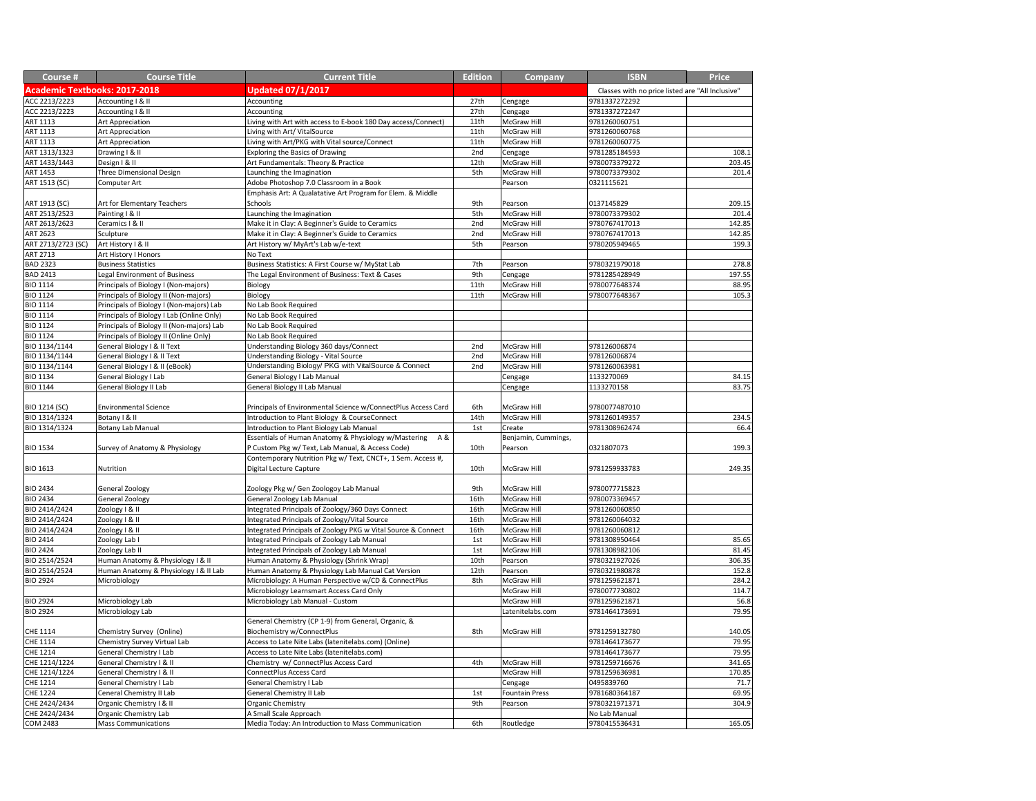| Course #                             | <b>Course Title</b>                       | <b>Current Title</b>                                                                                           | <b>Edition</b> | <b>Company</b>        | <b>ISBN</b>                                      | <b>Price</b> |
|--------------------------------------|-------------------------------------------|----------------------------------------------------------------------------------------------------------------|----------------|-----------------------|--------------------------------------------------|--------------|
| <b>Academic Textbooks: 2017-2018</b> |                                           | <b>Updated 07/1/2017</b>                                                                                       |                |                       | Classes with no price listed are "All Inclusive" |              |
| ACC 2213/2223                        | Accounting I & II                         | Accounting                                                                                                     | 27th           | Cengage               | 9781337272292                                    |              |
| ACC 2213/2223                        | Accounting   & II                         | Accounting                                                                                                     | 27th           | Cengage               | 9781337272247                                    |              |
| <b>ART 1113</b>                      | Art Appreciation                          | Living with Art with access to E-book 180 Day access/Connect)                                                  | 11th           | <b>McGraw Hill</b>    | 9781260060751                                    |              |
| <b>ART 1113</b>                      | Art Appreciation                          | Living with Art/ VitalSource                                                                                   | 11th           | <b>McGraw Hill</b>    | 9781260060768                                    |              |
| <b>ART 1113</b>                      | <b>Art Appreciation</b>                   | Living with Art/PKG with Vital source/Connect                                                                  | 11th           | <b>McGraw Hill</b>    | 9781260060775                                    |              |
| ART 1313/1323                        | Drawing I & II                            | <b>Exploring the Basics of Drawing</b>                                                                         | 2nd            | Cengage               | 9781285184593                                    | 108.1        |
| ART 1433/1443                        | Design I & II                             | Art Fundamentals: Theory & Practice                                                                            | 12th           | <b>McGraw Hill</b>    | 9780073379272                                    | 203.45       |
| <b>ART 1453</b>                      | Three Dimensional Design                  | Launching the Imagination                                                                                      | 5th            | McGraw Hill           | 9780073379302                                    | 201.4        |
| ART 1513 (SC)                        | Computer Art                              | Adobe Photoshop 7.0 Classroom in a Book                                                                        |                | Pearson               | 0321115621                                       |              |
|                                      |                                           | Emphasis Art: A Qualatative Art Program for Elem. & Middle                                                     |                |                       |                                                  |              |
| ART 1913 (SC)                        | Art for Elementary Teachers               | Schools                                                                                                        | 9th            | Pearson               | 0137145829                                       | 209.15       |
| ART 2513/2523                        | Painting I & II                           | Launching the Imagination                                                                                      | 5th            | <b>McGraw Hill</b>    | 9780073379302                                    | 201.4        |
| ART 2613/2623                        | Ceramics I & II                           | Make it in Clay: A Beginner's Guide to Ceramics                                                                | 2nd            | McGraw Hill           | 9780767417013                                    | 142.85       |
| <b>ART 2623</b>                      | Sculpture                                 | Make it in Clay: A Beginner's Guide to Ceramics                                                                | 2nd            | <b>McGraw Hill</b>    | 9780767417013                                    | 142.85       |
| ART 2713/2723 (SC)                   | Art History I & II                        | Art History w/ MyArt's Lab w/e-text                                                                            | 5th            | Pearson               | 9780205949465                                    | 199.3        |
| <b>ART 2713</b>                      | Art History I Honors                      | No Text                                                                                                        |                |                       |                                                  |              |
| <b>BAD 2323</b>                      | <b>Business Statistics</b>                | Business Statistics: A First Course w/ MyStat Lab                                                              | 7th            | Pearson               | 9780321979018                                    | 278.8        |
| <b>BAD 2413</b>                      | Legal Environment of Business             | The Legal Environment of Business: Text & Cases                                                                | 9th            | Cengage               | 9781285428949                                    | 197.55       |
| <b>BIO 1114</b>                      | Principals of Biology I (Non-majors)      | Biology                                                                                                        | 11th           | McGraw Hill           | 9780077648374                                    | 88.95        |
| <b>BIO 1124</b>                      | Principals of Biology II (Non-majors)     | <b>Biology</b>                                                                                                 | 11th           | <b>McGraw Hill</b>    | 9780077648367                                    | 105.3        |
| <b>BIO 1114</b>                      | Principals of Biology I (Non-majors) Lab  | No Lab Book Required                                                                                           |                |                       |                                                  |              |
| <b>BIO 1114</b>                      | Principals of Biology I Lab (Online Only) | No Lab Book Required                                                                                           |                |                       |                                                  |              |
| <b>BIO 1124</b>                      | Principals of Biology II (Non-majors) Lab | No Lab Book Required                                                                                           |                |                       |                                                  |              |
| <b>BIO 1124</b>                      | Principals of Biology II (Online Only)    | No Lab Book Required                                                                                           |                |                       |                                                  |              |
| BIO 1134/1144                        | General Biology I & II Text               | Understanding Biology 360 days/Connect                                                                         | 2nd            | <b>McGraw Hill</b>    | 978126006874                                     |              |
| BIO 1134/1144                        | General Biology   & II Text               | Understanding Biology - Vital Source                                                                           | 2nd            | <b>McGraw Hill</b>    | 978126006874                                     |              |
| BIO 1134/1144                        | General Biology   & II (eBook)            | Understanding Biology/ PKG with VitalSource & Connect                                                          | 2nd            | <b>McGraw Hill</b>    | 9781260063981                                    |              |
| <b>BIO 1134</b>                      | General Biology I Lab                     | <b>General Biology I Lab Manual</b>                                                                            |                |                       | 1133270069                                       | 84.15        |
| <b>BIO 1144</b>                      | General Biology II Lab                    | General Biology II Lab Manual                                                                                  |                | Cengage               | 1133270158                                       | 83.75        |
|                                      |                                           |                                                                                                                |                | Cengage               |                                                  |              |
| <b>BIO 1214 (SC)</b>                 | <b>Environmental Science</b>              |                                                                                                                | 6th            | McGraw Hill           | 9780077487010                                    |              |
| BIO 1314/1324                        | Botany I & II                             | Principals of Environmental Science w/ConnectPlus Access Card<br>Introduction to Plant Biology & CourseConnect | 14th           | <b>McGraw Hill</b>    | 9781260149357                                    |              |
|                                      |                                           |                                                                                                                |                |                       |                                                  | 234.5        |
| BIO 1314/1324                        | <b>Botany Lab Manual</b>                  | Introduction to Plant Biology Lab Manual<br>A &                                                                | 1st            | Create                | 9781308962474                                    | 66.4         |
|                                      |                                           | Essentials of Human Anatomy & Physiology w/Mastering                                                           |                | Benjamin, Cummings,   |                                                  |              |
| <b>BIO 1534</b>                      | Survey of Anatomy & Physiology            | P Custom Pkg w/ Text, Lab Manual, & Access Code)                                                               | 10th           | Pearson               | 0321807073                                       | 199.3        |
|                                      |                                           | Contemporary Nutrition Pkg w/ Text, CNCT+, 1 Sem. Access #,                                                    |                |                       |                                                  |              |
| <b>BIO 1613</b>                      | Nutrition                                 | Digital Lecture Capture                                                                                        | 10th           | McGraw Hill           | 9781259933783                                    | 249.35       |
|                                      |                                           |                                                                                                                |                |                       |                                                  |              |
| <b>BIO 2434</b>                      | General Zoology                           | Zoology Pkg w/ Gen Zoologoy Lab Manual                                                                         | 9th            | McGraw Hill           | 9780077715823                                    |              |
| <b>BIO 2434</b>                      | General Zoology                           | General Zoology Lab Manual                                                                                     | 16th           | <b>McGraw Hill</b>    | 9780073369457                                    |              |
| BIO 2414/2424                        | Zoology I & II                            | Integrated Principals of Zoology/360 Days Connect                                                              | 16th           | McGraw Hill           | 9781260060850                                    |              |
| BIO 2414/2424                        | Zoology I & II                            | Integrated Principals of Zoology/Vital Source                                                                  | 16th           | <b>McGraw Hill</b>    | 9781260064032                                    |              |
| BIO 2414/2424                        | Zoology I & II                            | Integrated Principals of Zoology PKG w Vital Source & Connect                                                  | 16th           | <b>McGraw Hill</b>    | 9781260060812                                    |              |
| <b>BIO 2414</b>                      | Zoology Lab I                             | Integrated Principals of Zoology Lab Manual                                                                    | 1st            | McGraw Hill           | 9781308950464                                    | 85.65        |
| <b>BIO 2424</b>                      | Zoology Lab II                            | Integrated Principals of Zoology Lab Manual                                                                    | 1st            | <b>McGraw Hill</b>    | 9781308982106                                    | 81.45        |
| BIO 2514/2524                        | Human Anatomy & Physiology I & II         | Human Anatomy & Physiology (Shrink Wrap)                                                                       | 10th           | Pearson               | 9780321927026                                    | 306.35       |
| BIO 2514/2524                        | Human Anatomy & Physiology I & II Lab     | Human Anatomy & Physiology Lab Manual Cat Version                                                              | 12th           | Pearson               | 9780321980878                                    | 152.8        |
| <b>BIO 2924</b>                      | Microbiology                              | Microbiology: A Human Perspective w/CD & ConnectPlus                                                           | 8th            | <b>McGraw Hill</b>    | 9781259621871                                    | 284.2        |
|                                      |                                           | Microbiology Learnsmart Access Card Only                                                                       |                | <b>McGraw Hill</b>    | 9780077730802                                    | 114.7        |
| <b>BIO 2924</b>                      | Microbiology Lab                          | Microbiology Lab Manual - Custom                                                                               |                | <b>McGraw Hill</b>    | 9781259621871                                    | 56.8         |
| <b>BIO 2924</b>                      | Microbiology Lab                          |                                                                                                                |                | Latenitelabs.com      | 9781464173691                                    | 79.95        |
|                                      |                                           | General Chemistry (CP 1-9) from General, Organic, &                                                            |                |                       |                                                  |              |
| CHE 1114                             | Chemistry Survey (Online)                 | Biochemistry w/ConnectPlus                                                                                     | 8th            | McGraw Hill           | 9781259132780                                    | 140.05       |
| CHE 1114                             | <b>Chemistry Survey Virtual Lab</b>       | Access to Late Nite Labs (latenitelabs.com) (Online)                                                           |                |                       | 9781464173677                                    | 79.95        |
| CHE 1214                             | <b>General Chemistry I Lab</b>            | Access to Late Nite Labs (latenitelabs.com)                                                                    |                |                       | 9781464173677                                    | 79.95        |
| CHE 1214/1224                        | General Chemistry I & II                  | Chemistry w/ ConnectPlus Access Card                                                                           | 4th            | McGraw Hill           | 9781259716676                                    | 341.65       |
| CHE 1214/1224                        | General Chemistry I & II                  | <b>ConnectPlus Access Card</b>                                                                                 |                | <b>McGraw Hill</b>    | 9781259636981                                    | 170.85       |
| CHE 1214                             | <b>General Chemistry I Lab</b>            | <b>General Chemistry I Lab</b>                                                                                 |                | Cengage               | 0495839760                                       | 71.7         |
| CHE 1224                             | Ceneral Chemistry II Lab                  | <b>General Chemistry II Lab</b>                                                                                | 1st            | <b>Fountain Press</b> | 9781680364187                                    | 69.95        |
| CHE 2424/2434                        | Organic Chemistry I & II                  | <b>Organic Chemistry</b>                                                                                       | 9th            | Pearson               | 9780321971371                                    | 304.9        |
| CHE 2424/2434                        | Organic Chemistry Lab                     | A Small Scale Approach                                                                                         |                |                       | No Lab Manual                                    |              |
| <b>COM 2483</b>                      | <b>Mass Communications</b>                | Media Today: An Introduction to Mass Communication                                                             | 6th            | Routledge             | 9780415536431                                    | 165.05       |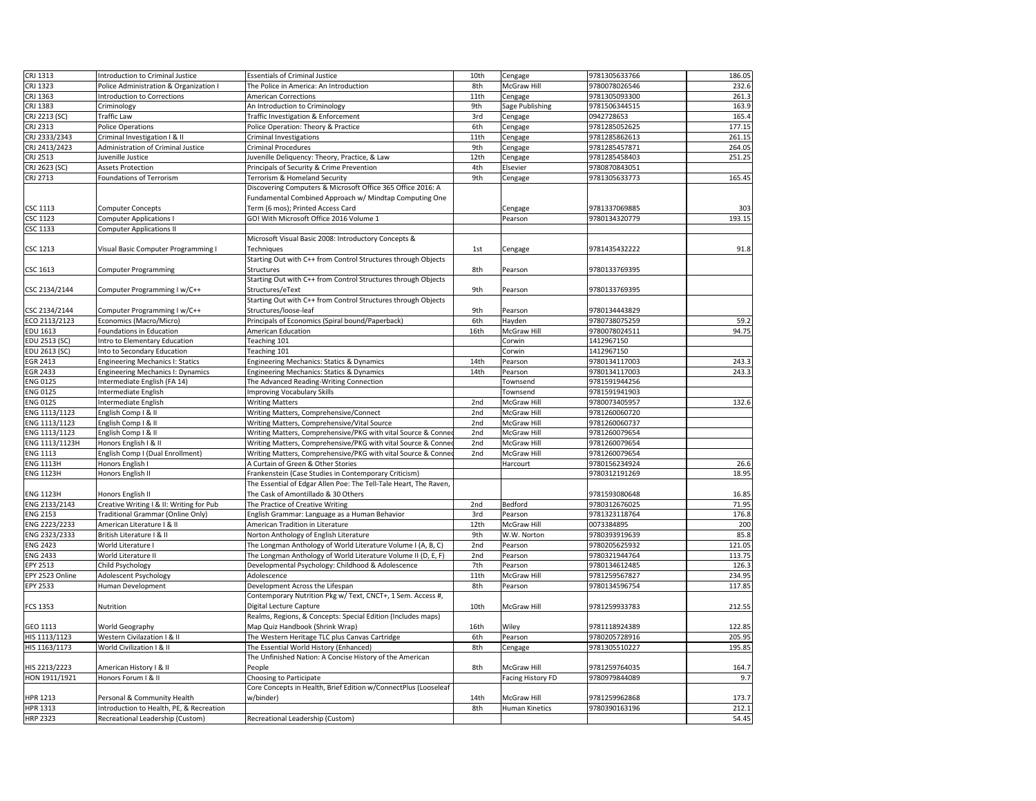| CRJ 1313             | Introduction to Criminal Justice         | <b>Essentials of Criminal Justice</b>                             | 10th | Cengage                  | 9781305633766 | 186.05 |
|----------------------|------------------------------------------|-------------------------------------------------------------------|------|--------------------------|---------------|--------|
| CRJ 1323             | Police Administration & Organization I   | The Police in America: An Introduction                            | 8th  | <b>McGraw Hill</b>       | 9780078026546 | 232.6  |
| CRJ 1363             | Introduction to Corrections              | <b>American Corrections</b>                                       | 11th | Cengage                  | 9781305093300 | 261.3  |
| CRJ 1383             | Criminology                              | An Introduction to Criminology                                    | 9th  | Sage Publishing          | 9781506344515 | 163.9  |
| CRJ 2213 (SC)        | Traffic Law                              | Traffic Investigation & Enforcement                               | 3rd  | Cengage                  | 0942728653    | 165.4  |
| CRJ 2313             | <b>Police Operations</b>                 | Police Operation: Theory & Practice                               | 6th  | Cengage                  | 9781285052625 | 177.15 |
| CRJ 2333/2343        | Criminal Investigation I & II            | <b>Criminal Investigations</b>                                    | 11th | Cengage                  | 9781285862613 | 261.15 |
| CRJ 2413/2423        | Administration of Criminal Justice       | <b>Criminal Procedures</b>                                        | 9th  | Cengage                  | 9781285457871 | 264.05 |
| CRJ 2513             | Juvenille Justice                        | Juvenille Deliquency: Theory, Practice, & Law                     | 12th | Cengage                  | 9781285458403 | 251.25 |
| CRJ 2623 (SC)        | <b>Assets Protection</b>                 | Principals of Security & Crime Prevention                         | 4th  | Elsevier                 | 9780870843051 |        |
| CRJ 2713             | <b>Foundations of Terrorism</b>          | Terrorism & Homeland Security                                     | 9th  | Cengage                  | 9781305633773 | 165.45 |
|                      |                                          | Discovering Computers & Microsoft Office 365 Office 2016: A       |      |                          |               |        |
|                      |                                          | Fundamental Combined Approach w/ Mindtap Computing One            |      |                          |               |        |
| <b>CSC 1113</b>      | <b>Computer Concepts</b>                 | Term (6 mos); Printed Access Card                                 |      | Cengage                  | 9781337069885 | 303    |
| <b>CSC 1123</b>      | <b>Computer Applications I</b>           | GO! With Microsoft Office 2016 Volume 1                           |      | Pearson                  | 9780134320779 | 193.15 |
| <b>CSC 1133</b>      | <b>Computer Applications II</b>          |                                                                   |      |                          |               |        |
|                      |                                          | Microsoft Visual Basic 2008: Introductory Concepts &              |      |                          |               |        |
| <b>CSC 1213</b>      | Visual Basic Computer Programming I      | Techniques                                                        | 1st  | Cengage                  | 9781435432222 | 91.8   |
|                      |                                          | Starting Out with C++ from Control Structures through Objects     |      |                          |               |        |
| <b>CSC 1613</b>      |                                          | <b>Structures</b>                                                 | 8th  | Pearson                  | 9780133769395 |        |
|                      | <b>Computer Programming</b>              | Starting Out with C++ from Control Structures through Objects     |      |                          |               |        |
|                      |                                          |                                                                   |      |                          |               |        |
| CSC 2134/2144        | Computer Programming I w/C++             | Structures/eText                                                  | 9th  | Pearson                  | 9780133769395 |        |
|                      |                                          | Starting Out with C++ from Control Structures through Objects     |      |                          |               |        |
| CSC 2134/2144        | Computer Programming I w/C++             | Structures/loose-leaf                                             | 9th  | Pearson                  | 9780134443829 |        |
| ECO 2113/2123        | Economics (Macro/Micro)                  | Principals of Economics (Spiral bound/Paperback)                  | 6th  | Hayden                   | 9780738075259 | 59.2   |
| <b>EDU 1613</b>      | Foundations in Education                 | <b>American Education</b>                                         | 16th | <b>McGraw Hill</b>       | 9780078024511 | 94.75  |
| <b>EDU 2513 (SC)</b> | Intro to Elementary Education            | Teaching 101                                                      |      | Corwin                   | 1412967150    |        |
| EDU 2613 (SC)        | Into to Secondary Education              | Teaching 101                                                      |      | Corwin                   | 1412967150    |        |
| <b>EGR 2413</b>      | <b>Engineering Mechanics I: Statics</b>  | <b>Engineering Mechanics: Statics &amp; Dynamics</b>              | 14th | Pearson                  | 9780134117003 | 243.3  |
| <b>EGR 2433</b>      | <b>Engineering Mechanics I: Dynamics</b> | <b>Engineering Mechanics: Statics &amp; Dynamics</b>              | 14th | Pearson                  | 9780134117003 | 243.3  |
| <b>ENG 0125</b>      | Intermediate English (FA 14)             | The Advanced Reading-Writing Connection                           |      | Townsend                 | 9781591944256 |        |
| <b>ENG 0125</b>      | Intermediate English                     | <b>Improving Vocabulary Skills</b>                                |      | Townsend                 | 9781591941903 |        |
| <b>ENG 0125</b>      | Intermediate English                     | <b>Writing Matters</b>                                            | 2nd  | <b>McGraw Hill</b>       | 9780073405957 | 132.6  |
| ENG 1113/1123        | English Comp   & II                      | Writing Matters, Comprehensive/Connect                            | 2nd  | <b>McGraw Hill</b>       | 9781260060720 |        |
| ENG 1113/1123        | English Comp   & II                      | Writing Matters, Comprehensive/Vital Source                       | 2nd  | McGraw Hill              | 9781260060737 |        |
| ENG 1113/1123        | English Comp   & II                      | Writing Matters, Comprehensive/PKG with vital Source & Conned     | 2nd  | <b>McGraw Hill</b>       | 9781260079654 |        |
| ENG 1113/1123H       | Honors English I & II                    | Writing Matters, Comprehensive/PKG with vital Source & Conned     | 2nd  | McGraw Hill              | 9781260079654 |        |
| <b>ENG 1113</b>      | English Comp I (Dual Enrollment)         | Writing Matters, Comprehensive/PKG with vital Source & Conned     | 2nd  | McGraw Hill              | 9781260079654 |        |
| <b>ENG 1113H</b>     | Honors English I                         | A Curtain of Green & Other Stories                                |      | Harcourt                 | 9780156234924 | 26.6   |
| <b>ENG 1123H</b>     | Honors English II                        | Frankenstein (Case Studies in Contemporary Criticism)             |      |                          | 9780312191269 | 18.95  |
|                      |                                          | The Essential of Edgar Allen Poe: The Tell-Tale Heart, The Raven, |      |                          |               |        |
| <b>ENG 1123H</b>     | Honors English II                        | The Cask of Amontillado & 30 Others                               |      |                          | 9781593080648 | 16.85  |
| ENG 2133/2143        | Creative Writing I & II: Writing for Pub | The Practice of Creative Writing                                  | 2nd  | Bedford                  | 9780312676025 | 71.95  |
| <b>ENG 2153</b>      | Traditional Grammar (Online Only)        | English Grammar: Language as a Human Behavior                     | 3rd  | Pearson                  | 9781323118764 | 176.8  |
| ENG 2223/2233        | American Literature I & II               | American Tradition in Literature                                  | 12th | <b>McGraw Hill</b>       | 0073384895    | 200    |
| ENG 2323/2333        | British Literature   & II                | Norton Anthology of English Literature                            | 9th  | W.W. Norton              | 9780393919639 | 85.8   |
| <b>ENG 2423</b>      | World Literature I                       | The Longman Anthology of World Literature Volume I (A, B, C)      | 2nd  | Pearson                  | 9780205625932 | 121.05 |
| <b>ENG 2433</b>      | World Literature II                      | The Longman Anthology of World Literature Volume II (D, E, F)     | 2nd  | Pearson                  | 9780321944764 | 113.75 |
| <b>EPY 2513</b>      | Child Psychology                         | Developmental Psychology: Childhood & Adolescence                 | 7th  | Pearson                  | 9780134612485 | 126.3  |
| EPY 2523 Online      | Adolescent Psychology                    | Adolescence                                                       | 11th | McGraw Hill              | 9781259567827 | 234.95 |
| <b>EPY 2533</b>      | Human Development                        | Development Across the Lifespan                                   | 8th  | Pearson                  | 9780134596754 | 117.85 |
|                      |                                          | Contemporary Nutrition Pkg w/ Text, CNCT+, 1 Sem. Access #,       |      |                          |               |        |
| FCS 1353             | Nutrition                                | Digital Lecture Capture                                           | 10th | McGraw Hill              | 9781259933783 | 212.55 |
|                      |                                          | Realms, Regions, & Concepts: Special Edition (Includes maps)      |      |                          |               |        |
| GEO 1113             | <b>World Geography</b>                   | Map Quiz Handbook (Shrink Wrap)                                   | 16th | Wiley                    | 9781118924389 | 122.85 |
| HIS 1113/1123        | Western Civilazation I & II              | The Western Heritage TLC plus Canvas Cartridge                    | 6th  | Pearson                  | 9780205728916 | 205.95 |
| HIS 1163/1173        | World Civilization I & II                | The Essential World History (Enhanced)                            | 8th  | Cengage                  | 9781305510227 | 195.85 |
|                      |                                          | The Unfinished Nation: A Concise History of the American          |      |                          |               |        |
| HIS 2213/2223        | American History I & II                  | People                                                            | 8th  | McGraw Hill              | 9781259764035 | 164.7  |
| HON 1911/1921        | Honors Forum I & II                      | Choosing to Participate                                           |      | <b>Facing History FD</b> | 9780979844089 | 9.7    |
|                      |                                          | Core Concepts in Health, Brief Edition w/ConnectPlus (Looseleaf   |      |                          |               |        |
| <b>HPR 1213</b>      | Personal & Community Health              | w/binder)                                                         | 14th | McGraw Hill              | 9781259962868 | 173.7  |
| <b>HPR 1313</b>      | Introduction to Health, PE, & Recreation |                                                                   | 8th  | Human Kinetics           | 9780390163196 | 212.1  |
| <b>HRP 2323</b>      | Recreational Leadership (Custom)         | Recreational Leadership (Custom)                                  |      |                          |               | 54.45  |
|                      |                                          |                                                                   |      |                          |               |        |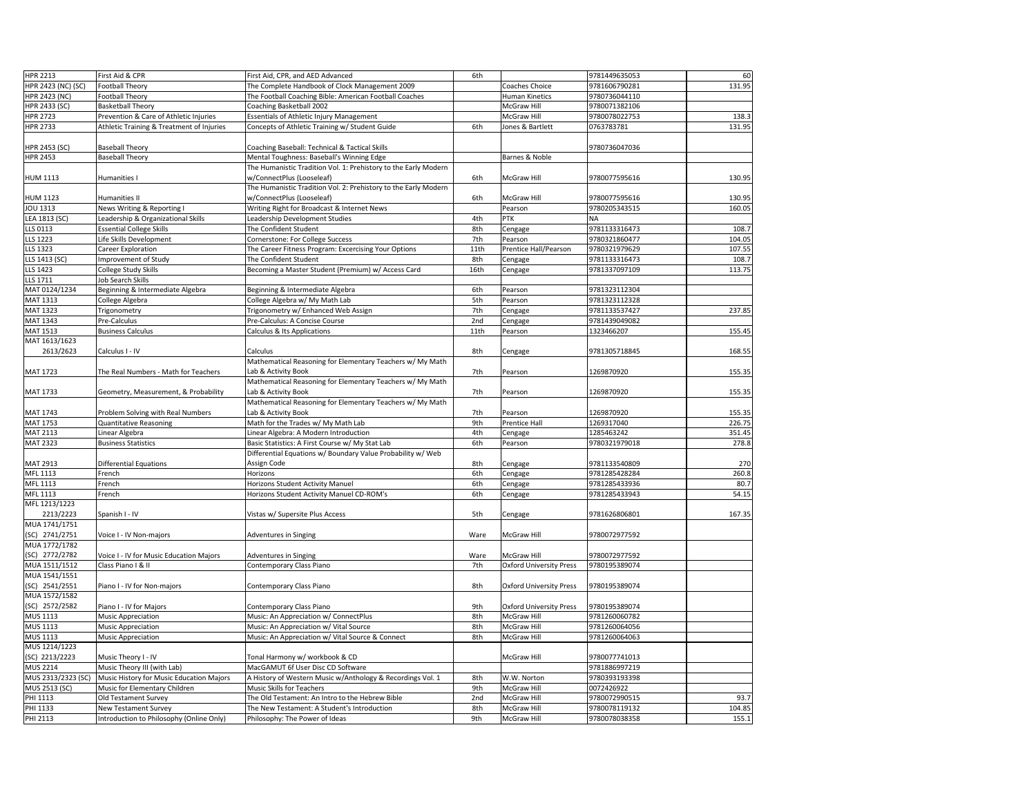| <b>HPR 2213</b>           | First Aid & CPR                           | First Aid, CPR, and AED Advanced                                | 6th  |                                | 9781449635053 | 60     |
|---------------------------|-------------------------------------------|-----------------------------------------------------------------|------|--------------------------------|---------------|--------|
| <b>HPR 2423 (NC) (SC)</b> | <b>Football Theory</b>                    | The Complete Handbook of Clock Management 2009                  |      | Coaches Choice                 | 9781606790281 | 131.95 |
| <b>HPR 2423 (NC)</b>      | Football Theory                           | The Football Coaching Bible: American Football Coaches          |      | <b>Human Kinetics</b>          | 9780736044110 |        |
|                           |                                           |                                                                 |      |                                |               |        |
| <b>HPR 2433 (SC)</b>      | <b>Basketball Theory</b>                  | Coaching Basketball 2002                                        |      | McGraw Hill                    | 9780071382106 |        |
| <b>HPR 2723</b>           | Prevention & Care of Athletic Injuries    | Essentials of Athletic Injury Management                        |      | McGraw Hill                    | 9780078022753 | 138.3  |
| <b>HPR 2733</b>           | Athletic Training & Treatment of Injuries | Concepts of Athletic Training w/ Student Guide                  | 6th  | Jones & Bartlett               | 0763783781    | 131.95 |
|                           |                                           |                                                                 |      |                                |               |        |
| <b>HPR 2453 (SC)</b>      | <b>Baseball Theory</b>                    | Coaching Baseball: Technical & Tactical Skills                  |      |                                | 9780736047036 |        |
| <b>HPR 2453</b>           | <b>Baseball Theory</b>                    | Mental Toughness: Baseball's Winning Edge                       |      | Barnes & Noble                 |               |        |
|                           |                                           | The Humanistic Tradition Vol. 1: Prehistory to the Early Modern |      |                                |               |        |
| <b>HUM 1113</b>           | Humanities I                              | w/ConnectPlus (Looseleaf)                                       | 6th  | <b>McGraw Hill</b>             | 9780077595616 | 130.95 |
|                           |                                           | The Humanistic Tradition Vol. 2: Prehistory to the Early Modern |      |                                |               |        |
| <b>HUM 1123</b>           | Humanities II                             | w/ConnectPlus (Looseleaf)                                       | 6th  | McGraw Hill                    | 9780077595616 | 130.95 |
| JOU 1313                  | News Writing & Reporting I                | <b>Writing Right for Broadcast &amp; Internet News</b>          |      | Pearson                        | 9780205343515 | 160.05 |
| LEA 1813 (SC)             | Leadership & Organizational Skills        | Leadership Development Studies                                  | 4th  | <b>PTK</b>                     | <b>NA</b>     |        |
| LLS 0113                  | <b>Essential College Skills</b>           | The Confident Student                                           | 8th  | Cengage                        | 9781133316473 | 108.7  |
| LLS 1223                  | Life Skills Development                   | Cornerstone: For College Success                                | 7th  | Pearson                        | 9780321860477 | 104.05 |
| LLS 1323                  | Career Exploration                        | The Career Fitness Program: Excercising Your Options            | 11th | Prentice Hall/Pearson          | 9780321979629 | 107.55 |
| LLS 1413 (SC)             | Improvement of Study                      | The Confident Student                                           | 8th  | Cengage                        | 9781133316473 | 108.7  |
| LLS 1423                  | College Study Skills                      | Becoming a Master Student (Premium) w/ Access Card              | 16th | Cengage                        | 9781337097109 | 113.75 |
| LLS 1711                  | <b>Job Search Skills</b>                  |                                                                 |      |                                |               |        |
| MAT 0124/1234             | Beginning & Intermediate Algebra          | Beginning & Intermediate Algebra                                | 6th  | Pearson                        | 9781323112304 |        |
| <b>MAT 1313</b>           | College Algebra                           | College Algebra w/ My Math Lab                                  | 5th  | Pearson                        | 9781323112328 |        |
| <b>MAT 1323</b>           | Trigonometry                              | Trigonometry w/ Enhanced Web Assign                             | 7th  | Cengage                        | 9781133537427 | 237.85 |
| <b>MAT 1343</b>           | Pre-Calculus                              | Pre-Calculus: A Concise Course                                  | 2nd  | Cengage                        | 9781439049082 |        |
| <b>MAT 1513</b>           | <b>Business Calculus</b>                  | Calculus & Its Applications                                     | 11th | Pearson                        | 1323466207    | 155.45 |
| MAT 1613/1623             |                                           |                                                                 |      |                                |               |        |
| 2613/2623                 | Calculus I - IV                           | <b>Calculus</b>                                                 | 8th  |                                | 9781305718845 | 168.55 |
|                           |                                           | Mathematical Reasoning for Elementary Teachers w/ My Math       |      | Cengage                        |               |        |
| <b>MAT 1723</b>           | The Real Numbers - Math for Teachers      | Lab & Activity Book                                             | 7th  |                                | 1269870920    |        |
|                           |                                           | Mathematical Reasoning for Elementary Teachers w/ My Math       |      | Pearson                        |               | 155.35 |
|                           |                                           |                                                                 |      |                                |               |        |
| <b>MAT 1733</b>           | Geometry, Measurement, & Probability      | Lab & Activity Book                                             | 7th  | Pearson                        | 1269870920    | 155.35 |
|                           |                                           | Mathematical Reasoning for Elementary Teachers w/ My Math       |      |                                |               |        |
| MAT 1743                  | Problem Solving with Real Numbers         | Lab & Activity Book                                             | 7th  | Pearson                        | 1269870920    | 155.35 |
| <b>MAT 1753</b>           | <b>Quantitative Reasoning</b>             | Math for the Trades w/ My Math Lab                              | 9th  | <b>Prentice Hall</b>           | 1269317040    | 226.75 |
| <b>MAT 2113</b>           | Linear Algebra                            | Linear Algebra: A Modern Introduction                           | 4th  | Cengage                        | 1285463242    | 351.45 |
| <b>MAT 2323</b>           | <b>Business Statistics</b>                | Basic Statistics: A First Course w/ My Stat Lab                 | 6th  | Pearson                        | 9780321979018 | 278.8  |
|                           |                                           | Differential Equations w/ Boundary Value Probability w/ Web     |      |                                |               |        |
| MAT 2913                  | <b>Differential Equations</b>             | Assign Code                                                     | 8th  | Cengage                        | 9781133540809 | 270    |
| MFL 1113                  | French                                    | <b>Horizons</b>                                                 | 6th  | Cengage                        | 9781285428284 | 260.8  |
| MFL 1113                  | French                                    | Horizons Student Activity Manuel                                | 6th  | Cengage                        | 9781285433936 | 80.7   |
| MFL 1113                  | French                                    | Horizons Student Activity Manuel CD-ROM's                       | 6th  | Cengage                        | 9781285433943 | 54.15  |
| MFL 1213/1223             |                                           |                                                                 |      |                                |               |        |
| 2213/2223                 | Spanish I - IV                            | Vistas w/ Supersite Plus Access                                 | 5th  | Cengage                        | 9781626806801 | 167.35 |
| MUA 1741/1751             |                                           |                                                                 |      |                                |               |        |
| $(SC)$ 2741/2751          | Voice I - IV Non-majors                   | Adventures in Singing                                           | Ware | McGraw Hill                    | 9780072977592 |        |
| MUA 1772/1782             |                                           |                                                                 |      |                                |               |        |
| (SC) 2772/2782            | Voice I - IV for Music Education Majors   | Adventures in Singing                                           | Ware | McGraw Hill                    | 9780072977592 |        |
| MUA 1511/1512             | Class Piano I & II                        | Contemporary Class Piano                                        | 7th  | <b>Oxford University Press</b> | 9780195389074 |        |
| MUA 1541/1551             |                                           |                                                                 |      |                                |               |        |
| $(C)$ 2541/2551           | Piano I - IV for Non-majors               | Contemporary Class Piano                                        | 8th  | <b>Oxford University Press</b> | 9780195389074 |        |
| MUA 1572/1582             |                                           |                                                                 |      |                                |               |        |
| (SC) 2572/2582            | Piano I - IV for Majors                   | Contemporary Class Piano                                        | 9th  | <b>Oxford University Press</b> | 9780195389074 |        |
| <b>MUS 1113</b>           | <b>Music Appreciation</b>                 | Music: An Appreciation w/ ConnectPlus                           | 8th  | <b>McGraw Hill</b>             | 9781260060782 |        |
| <b>MUS 1113</b>           | <b>Music Appreciation</b>                 | Music: An Appreciation w/ Vital Source                          | 8th  | <b>McGraw Hill</b>             | 9781260064056 |        |
| <b>MUS 1113</b>           | <b>Music Appreciation</b>                 | Music: An Appreciation w/ Vital Source & Connect                | 8th  | <b>McGraw Hill</b>             | 9781260064063 |        |
| MUS 1214/1223             |                                           |                                                                 |      |                                |               |        |
| (SC) 2213/2223            | Music Theory I - IV                       | Tonal Harmony w/ workbook & CD                                  |      | <b>McGraw Hill</b>             | 9780077741013 |        |
| <b>MUS 2214</b>           | Music Theory III (with Lab)               | MacGAMUT 6f User Disc CD Software                               |      |                                | 9781886997219 |        |
| MUS 2313/2323 (SC)        | Music History for Music Education Majors  | A History of Western Music w/Anthology & Recordings Vol. 1      | 8th  | W.W. Norton                    | 9780393193398 |        |
| MUS 2513 (SC)             | Music for Elementary Children             | Music Skills for Teachers                                       | 9th  | <b>McGraw Hill</b>             | 0072426922    |        |
| PHI 1113                  | <b>Old Testament Survey</b>               | The Old Testament: An Intro to the Hebrew Bible                 | 2nd  | <b>McGraw Hill</b>             | 9780072990515 | 93.7   |
| PHI 1133                  | <b>New Testament Survey</b>               | The New Testament: A Student's Introduction                     | 8th  | <b>McGraw Hill</b>             | 9780078119132 | 104.85 |
| <b>PHI 2113</b>           | Introduction to Philosophy (Online Only)  | Philosophy: The Power of Ideas                                  | 9th  | McGraw Hill                    | 9780078038358 | 155.1  |
|                           |                                           |                                                                 |      |                                |               |        |